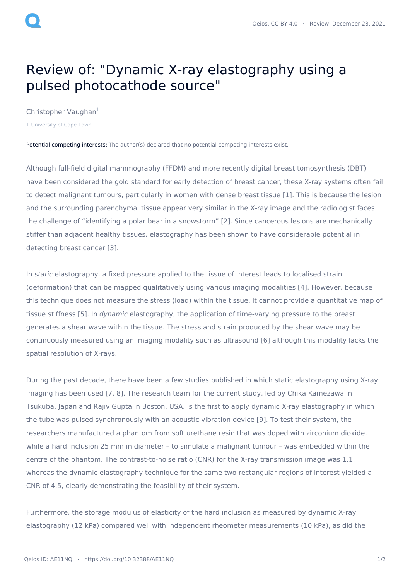## Review of: "Dynamic X-ray elastography using a pulsed photocathode source"

[Christopher](https://www.qeios.com/profile/10333) Vaughan<sup>1</sup>

1 University of Cape Town

Potential competing interests: The author(s) declared that no potential competing interests exist.

Although full-field digital mammography (FFDM) and more recently digital breast tomosynthesis (DBT) have been considered the gold standard for early detection of breast cancer, these X-ray systems often fail to detect malignant tumours, particularly in women with dense breast tissue [1]. This is because the lesion and the surrounding parenchymal tissue appear very similar in the X-ray image and the radiologist faces the challenge of "identifying a polar bear in a snowstorm" [2]. Since cancerous lesions are mechanically stiffer than adjacent healthy tissues, elastography has been shown to have considerable potential in detecting breast cancer [3].

In static elastography, a fixed pressure applied to the tissue of interest leads to localised strain (deformation) that can be mapped qualitatively using various imaging modalities [4]. However, because this technique does not measure the stress (load) within the tissue, it cannot provide a quantitative map of tissue stiffness [5]. In *dynamic* elastography, the application of time-varying pressure to the breast generates a shear wave within the tissue. The stress and strain produced by the shear wave may be continuously measured using an imaging modality such as ultrasound [6] although this modality lacks the spatial resolution of X-rays.

During the past decade, there have been a few studies published in which static elastography using X-ray imaging has been used [7, 8]. The research team for the current study, led by Chika Kamezawa in Tsukuba, Japan and Rajiv Gupta in Boston, USA, is the first to apply dynamic X-ray elastography in which the tube was pulsed synchronously with an acoustic vibration device [9]. To test their system, the researchers manufactured a phantom from soft urethane resin that was doped with zirconium dioxide, while a hard inclusion 25 mm in diameter – to simulate a malignant tumour – was embedded within the centre of the phantom. The contrast-to-noise ratio (CNR) for the X-ray transmission image was 1.1, whereas the dynamic elastography technique for the same two rectangular regions of interest yielded a CNR of 4.5, clearly demonstrating the feasibility of their system.

Furthermore, the storage modulus of elasticity of the hard inclusion as measured by dynamic X-ray elastography (12 kPa) compared well with independent rheometer measurements (10 kPa), as did the